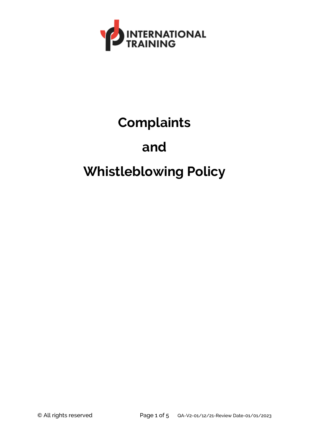

# **Complaints**

### **and**

## **Whistleblowing Policy**

© All rights reserved Page 1 of 5 QA-V2-01/12/21-Review Date-01/01/2023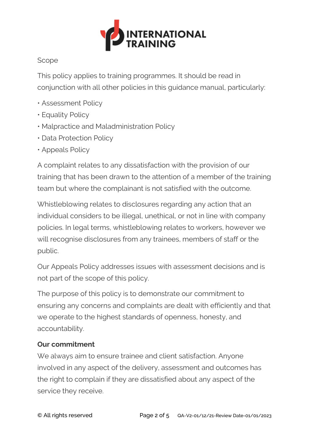

#### Scope

This policy applies to training programmes. It should be read in conjunction with all other policies in this guidance manual, particularly:

- Assessment Policy
- Equality Policy
- Malpractice and Maladministration Policy
- Data Protection Policy
- Appeals Policy

A complaint relates to any dissatisfaction with the provision of our training that has been drawn to the attention of a member of the training team but where the complainant is not satisfied with the outcome.

Whistleblowing relates to disclosures regarding any action that an individual considers to be illegal, unethical, or not in line with company policies. In legal terms, whistleblowing relates to workers, however we will recognise disclosures from any trainees, members of staff or the public.

Our Appeals Policy addresses issues with assessment decisions and is not part of the scope of this policy.

The purpose of this policy is to demonstrate our commitment to ensuring any concerns and complaints are dealt with efficiently and that we operate to the highest standards of openness, honesty, and accountability.

#### **Our commitment**

We always aim to ensure trainee and client satisfaction. Anyone involved in any aspect of the delivery, assessment and outcomes has the right to complain if they are dissatisfied about any aspect of the service they receive.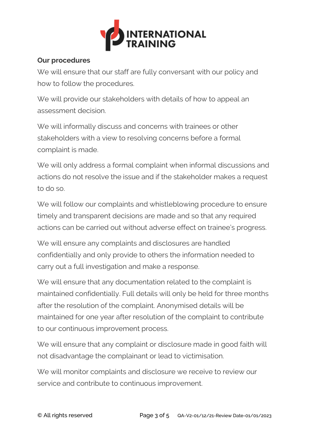

#### **Our procedures**

We will ensure that our staff are fully conversant with our policy and how to follow the procedures.

We will provide our stakeholders with details of how to appeal an assessment decision.

We will informally discuss and concerns with trainees or other stakeholders with a view to resolving concerns before a formal complaint is made.

We will only address a formal complaint when informal discussions and actions do not resolve the issue and if the stakeholder makes a request to do so.

We will follow our complaints and whistleblowing procedure to ensure timely and transparent decisions are made and so that any required actions can be carried out without adverse effect on trainee's progress.

We will ensure any complaints and disclosures are handled confidentially and only provide to others the information needed to carry out a full investigation and make a response.

We will ensure that any documentation related to the complaint is maintained confidentially. Full details will only be held for three months after the resolution of the complaint. Anonymised details will be maintained for one year after resolution of the complaint to contribute to our continuous improvement process.

We will ensure that any complaint or disclosure made in good faith will not disadvantage the complainant or lead to victimisation.

We will monitor complaints and disclosure we receive to review our service and contribute to continuous improvement.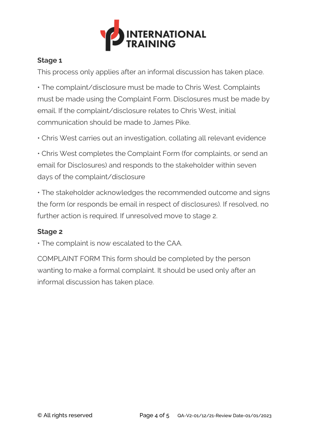

#### **Stage 1**

This process only applies after an informal discussion has taken place.

• The complaint/disclosure must be made to Chris West. Complaints must be made using the Complaint Form. Disclosures must be made by email. If the complaint/disclosure relates to Chris West, initial communication should be made to James Pike.

• Chris West carries out an investigation, collating all relevant evidence

• Chris West completes the Complaint Form (for complaints, or send an email for Disclosures) and responds to the stakeholder within seven days of the complaint/disclosure

• The stakeholder acknowledges the recommended outcome and signs the form (or responds be email in respect of disclosures). If resolved, no further action is required. If unresolved move to stage 2.

#### **Stage 2**

• The complaint is now escalated to the CAA.

COMPLAINT FORM This form should be completed by the person wanting to make a formal complaint. It should be used only after an informal discussion has taken place.